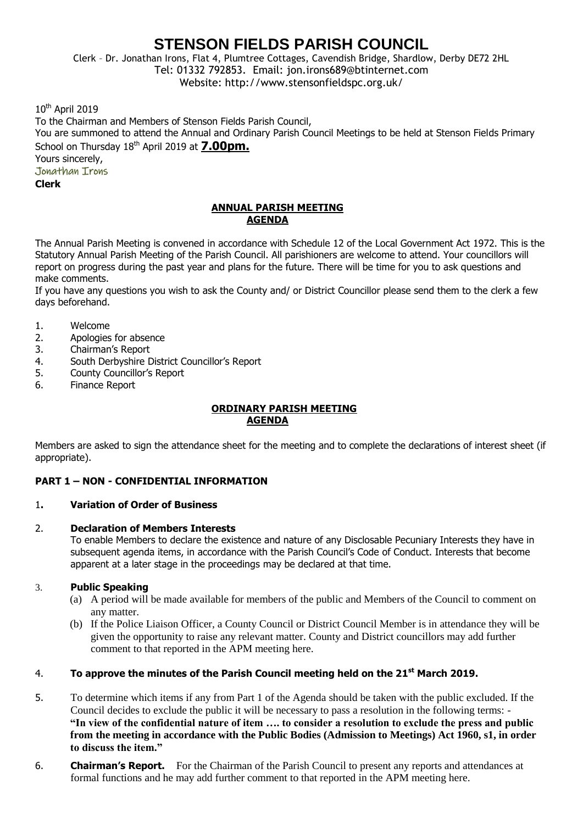# **STENSON FIELDS PARISH COUNCIL**

Clerk – Dr. Jonathan Irons, Flat 4, Plumtree Cottages, Cavendish Bridge, Shardlow, Derby DE72 2HL Tel: 01332 792853. Email: jon.irons689@btinternet.com Website: http://www.stensonfieldspc.org.uk/

10<sup>th</sup> April 2019

To the Chairman and Members of Stenson Fields Parish Council, You are summoned to attend the Annual and Ordinary Parish Council Meetings to be held at Stenson Fields Primary School on Thursday 18<sup>th</sup> April 2019 at **7.00pm.** Yours sincerely,

Jonathan Irons

**Clerk**

#### **ANNUAL PARISH MEETING AGENDA**

The Annual Parish Meeting is convened in accordance with Schedule 12 of the Local Government Act 1972. This is the Statutory Annual Parish Meeting of the Parish Council. All parishioners are welcome to attend. Your councillors will report on progress during the past year and plans for the future. There will be time for you to ask questions and make comments.

If you have any questions you wish to ask the County and/ or District Councillor please send them to the clerk a few days beforehand.

- 1. Welcome
- 2. Apologies for absence
- 3. Chairman's Report
- 4. South Derbyshire District Councillor's Report
- 5. County Councillor's Report
- 6. Finance Report

#### **ORDINARY PARISH MEETING AGENDA**

Members are asked to sign the attendance sheet for the meeting and to complete the declarations of interest sheet (if appropriate).

#### **PART 1 – NON - CONFIDENTIAL INFORMATION**

#### 1**. Variation of Order of Business**

#### 2. **Declaration of Members Interests**

To enable Members to declare the existence and nature of any Disclosable Pecuniary Interests they have in subsequent agenda items, in accordance with the Parish Council's Code of Conduct. Interests that become apparent at a later stage in the proceedings may be declared at that time.

#### 3. **Public Speaking**

- (a) A period will be made available for members of the public and Members of the Council to comment on any matter.
- (b) If the Police Liaison Officer, a County Council or District Council Member is in attendance they will be given the opportunity to raise any relevant matter. County and District councillors may add further comment to that reported in the APM meeting here.

#### 4. **To approve the minutes of the Parish Council meeting held on the 21st March 2019.**

- 5. To determine which items if any from Part 1 of the Agenda should be taken with the public excluded. If the Council decides to exclude the public it will be necessary to pass a resolution in the following terms: - **"In view of the confidential nature of item …. to consider a resolution to exclude the press and public from the meeting in accordance with the Public Bodies (Admission to Meetings) Act 1960, s1, in order to discuss the item."**
- 6. **Chairman's Report.** For the Chairman of the Parish Council to present any reports and attendances at formal functions and he may add further comment to that reported in the APM meeting here.